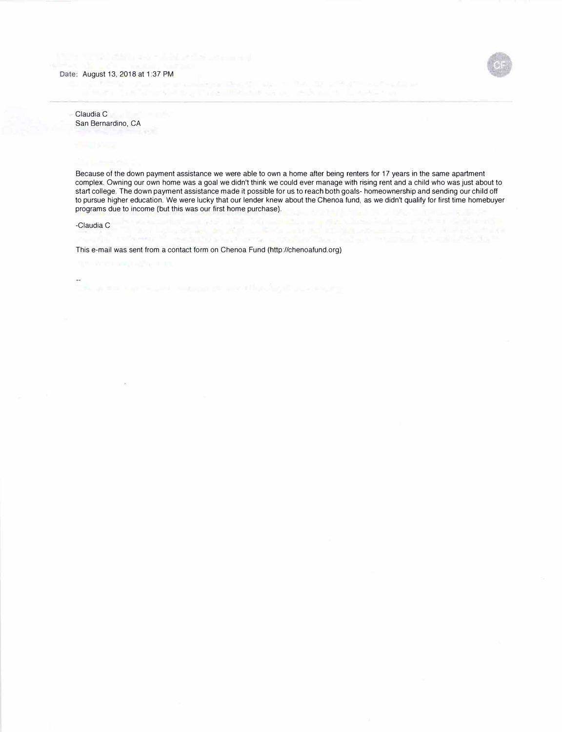

Claudia C San Bernardino, CA

Because of the down payment assistance we were able to own a home after being renters for 17 years in the same apartment complex. Owning our own home was a goal we didn't think we could ever manage with rising rent and a child who was just about to start college. The down payment assistance made it possible for us to reach both goals- homeownership and sending our child off to pursue higher education. We were lucky that our lender knew about the Chenoa fund, as we didn't qualify for first time homebuyer programs due to income (but this was our first home purchase).

search and crew a polarithm.

-Claudia C

This e-mail was sent from a contact form on Chenoa Fund (http://chenoafund.org)